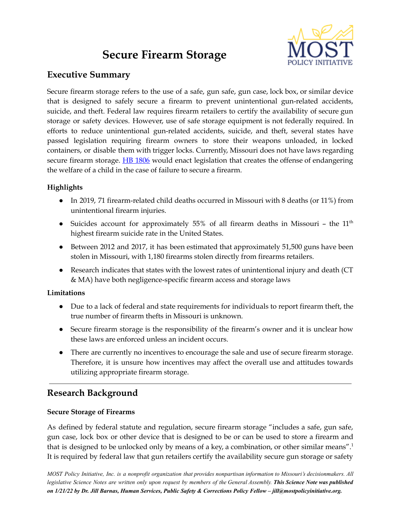# **Secure Firearm Storage**



## **Executive Summary**

Secure firearm storage refers to the use of a safe, gun safe, gun case, lock box, or similar device that is designed to safely secure a firearm to prevent unintentional gun-related accidents, suicide, and theft. Federal law requires firearm retailers to certify the availability of secure gun storage or safety devices. However, use of safe storage equipment is not federally required. In efforts to reduce unintentional gun-related accidents, suicide, and theft, several states have passed legislation requiring firearm owners to store their weapons unloaded, in locked containers, or disable them with trigger locks. Currently, Missouri does not have laws regarding secure firearm storage. **HB [1806](https://house.mo.gov/Bill.aspx?bill=HB1806&year=2022&code=R)** would enact legislation that creates the offense of endangering the welfare of a child in the case of failure to secure a firearm.

### **Highlights**

- In 2019, 71 firearm-related child deaths occurred in Missouri with 8 deaths (or 11%) from unintentional firearm injuries.
- Suicides account for approximately 55% of all firearm deaths in Missouri the  $11<sup>th</sup>$ highest firearm suicide rate in the United States.
- Between 2012 and 2017, it has been estimated that approximately 51,500 guns have been stolen in Missouri, with 1,180 firearms stolen directly from firearms retailers.
- Research indicates that states with the lowest rates of unintentional injury and death (CT & MA) have both negligence-specific firearm access and storage laws

#### **Limitations**

- Due to a lack of federal and state requirements for individuals to report firearm theft, the true number of firearm thefts in Missouri is unknown.
- Secure firearm storage is the responsibility of the firearm's owner and it is unclear how these laws are enforced unless an incident occurs.
- There are currently no incentives to encourage the sale and use of secure firearm storage. Therefore, it is unsure how incentives may affect the overall use and attitudes towards utilizing appropriate firearm storage.

## **Research Background**

#### **Secure Storage of Firearms**

As defined by federal statute and regulation, secure firearm storage "includes a safe, gun safe, gun case, lock box or other device that is designed to be or can be used to store a firearm and that is designed to be unlocked only by means of a key, a combination, or other similar means".<sup>1</sup> It is required by federal law that gun retailers certify the availability secure gun storage or safety

MOST Policy Initiative, Inc. is a nonprofit organization that provides nonpartisan information to Missouri's decisionmakers. All legislative Science Notes are written only upon request by members of the General Assembly. This Science Note was published *on 1/21/22 by Dr. Jill Barnas, Human Services, Public Safety & Corrections Policy Fellow – jill@mostpolicyinitiative.org.*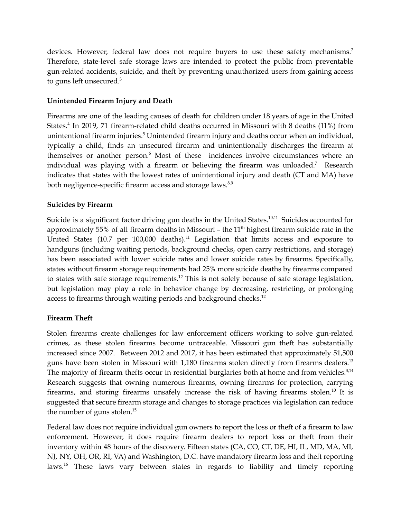devices. However, federal law does not require buyers to use these safety mechanisms.<sup>2</sup> Therefore, state-level safe storage laws are intended to protect the public from preventable gun-related accidents, suicide, and theft by preventing unauthorized users from gaining access to guns left unsecured. 3

#### **Unintended Firearm Injury and Death**

Firearms are one of the leading causes of death for children under 18 years of age in the United States. 4 In 2019, 71 firearm-related child deaths occurred in Missouri with 8 deaths (11%) from unintentional firearm injuries.<sup>5</sup> Unintended firearm injury and deaths occur when an individual, typically a child, finds an unsecured firearm and unintentionally discharges the firearm at themselves or another person. <sup>6</sup> Most of these incidences involve circumstances where an individual was playing with a firearm or believing the firearm was unloaded. <sup>7</sup> Research indicates that states with the lowest rates of unintentional injury and death (CT and MA) have both negligence-specific firearm access and storage laws.<sup>8,9</sup>

#### **Suicides by Firearm**

Suicide is a significant factor driving gun deaths in the United States.<sup>10,11</sup> Suicides accounted for approximately 55% of all firearm deaths in Missouri – the  $11<sup>th</sup>$  highest firearm suicide rate in the United States (10.7 per 100,000 deaths).<sup>11</sup> Legislation that limits access and exposure to handguns (including waiting periods, background checks, open carry restrictions, and storage) has been associated with lower suicide rates and lower suicide rates by firearms. Specifically, states without firearm storage requirements had 25% more suicide deaths by firearms compared to states with safe storage requirements.<sup>12</sup> This is not solely because of safe storage legislation, but legislation may play a role in behavior change by decreasing, restricting, or prolonging access to firearms through waiting periods and background checks.<sup>12</sup>

#### **Firearm Theft**

Stolen firearms create challenges for law enforcement officers working to solve gun-related crimes, as these stolen firearms become untraceable. Missouri gun theft has substantially increased since 2007. Between 2012 and 2017, it has been estimated that approximately 51,500 guns have been stolen in Missouri with 1,180 firearms stolen directly from firearms dealers.<sup>13</sup> The majority of firearm thefts occur in residential burglaries both at home and from vehicles.<sup>3,14</sup> Research suggests that owning numerous firearms, owning firearms for protection, carrying firearms, and storing firearms unsafely increase the risk of having firearms stolen.<sup>10</sup> It is suggested that secure firearm storage and changes to storage practices via legislation can reduce the number of guns stolen. 15

Federal law does not require individual gun owners to report the loss or theft of a firearm to law enforcement. However, it does require firearm dealers to report loss or theft from their inventory within 48 hours of the discovery. Fifteen states (CA, CO, CT, DE, HI, IL, MD, MA, MI, NJ, NY, OH, OR, RI, VA) and Washington, D.C. have mandatory firearm loss and theft reporting laws. <sup>16</sup> These laws vary between states in regards to liability and timely reporting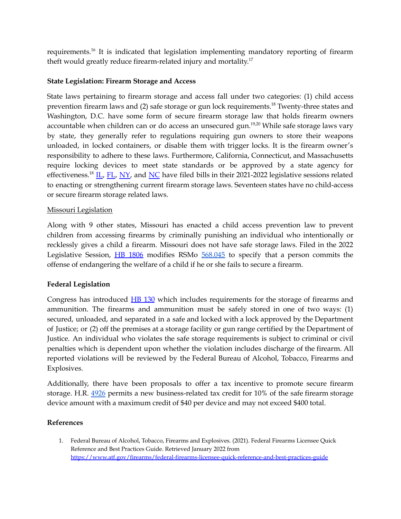requirements.<sup>16</sup> It is indicated that legislation implementing mandatory reporting of firearm theft would greatly reduce firearm-related injury and mortality.<sup>17</sup>

#### **State Legislation: Firearm Storage and Access**

State laws pertaining to firearm storage and access fall under two categories: (1) child access prevention firearm laws and (2) safe storage or gun lock requirements.<sup>18</sup> Twenty-three states and Washington, D.C. have some form of secure firearm storage law that holds firearm owners accountable when children can or do access an unsecured gun.<sup>19,20</sup> While safe storage laws vary by state, they generally refer to regulations requiring gun owners to store their weapons unloaded, in locked containers, or disable them with trigger locks. It is the firearm owner's responsibility to adhere to these laws. Furthermore, California, Connecticut, and Massachusetts require locking devices to meet state standards or be approved by a state agency for effectiveness.<sup>18</sup> [IL](https://legiscan.com/IL/bill/HB0552/2021), [FL](https://legiscan.com/FL/bill/S1166/2022), [NY,](https://legiscan.com/NY/bill/A01180/2021) and [NC](https://legiscan.com/NC/bill/H427/2021) have filed bills in their 2021-2022 legislative sessions related to enacting or strengthening current firearm storage laws. Seventeen states have no child-access or secure firearm storage related laws.

#### Missouri Legislation

Along with 9 other states, Missouri has enacted a child access prevention law to prevent children from accessing firearms by criminally punishing an individual who intentionally or recklessly gives a child a firearm. Missouri does not have safe storage laws. Filed in the 2022 Legislative Session,  $\overline{HB}$  [1806](https://house.mo.gov/Bill.aspx?bill=HB1806&year=2022&code=R) modifies RSMo  $\overline{568.045}$  $\overline{568.045}$  $\overline{568.045}$  to specify that a person commits the offense of endangering the welfare of a child if he or she fails to secure a firearm.

#### **Federal Legislation**

Congress has introduced HB [130](https://legiscan.com/US/bill/HB130/2021) which includes requirements for the storage of firearms and ammunition. The firearms and ammunition must be safely stored in one of two ways: (1) secured, unloaded, and separated in a safe and locked with a lock approved by the Department of Justice; or (2) off the premises at a storage facility or gun range certified by the Department of Justice. An individual who violates the safe storage requirements is subject to criminal or civil penalties which is dependent upon whether the violation includes discharge of the firearm. All reported violations will be reviewed by the Federal Bureau of Alcohol, Tobacco, Firearms and Explosives.

Additionally, there have been proposals to offer a tax incentive to promote secure firearm storage. H.R. [4926](https://www.congress.gov/bill/116th-congress/house-bill/4926/text?r=8&s=1) permits a new business-related tax credit for 10% of the safe firearm storage device amount with a maximum credit of \$40 per device and may not exceed \$400 total.

#### **References**

1. Federal Bureau of Alcohol, Tobacco, Firearms and Explosives. (2021). Federal Firearms Licensee Quick Reference and Best Practices Guide. Retrieved January 2022 from <https://www.atf.gov/firearms/federal-firearms-licensee-quick-reference-and-best-practices-guide>